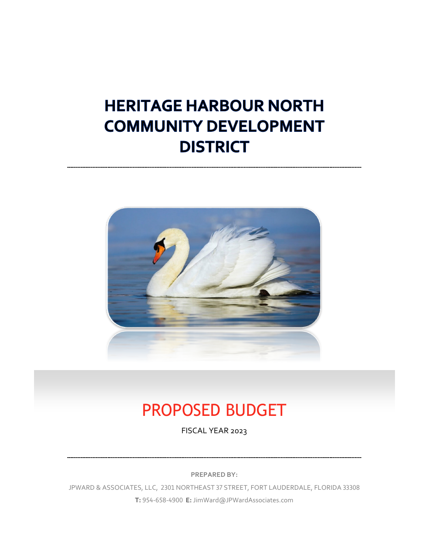# **HERITAGE HARBOUR NORTH COMMUNITY DEVELOPMENT DISTRICT**



# PROPOSED BUDGET

FISCAL YEAR 2023

**PREPARED BY:**

JPWARD & ASSOCIATES, LLC, 2301 NORTHEAST 37 STREET, FORT LAUDERDALE, FLORIDA 33308 **T:** 954-658-4900 **E:** JimWard@JPWardAssociates.com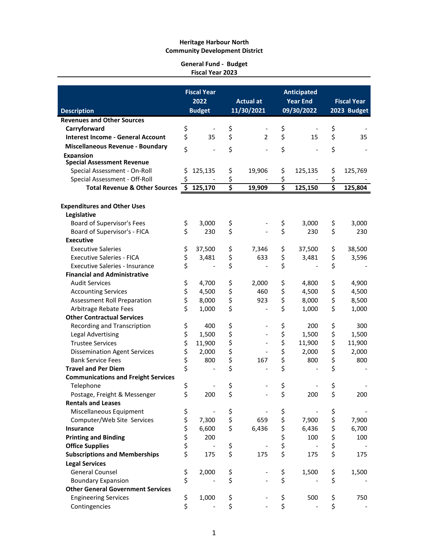#### **General Fund - Budget Fiscal Year 2023**

|                                            |            | <b>Fiscal Year</b> |                                     |                          |          | <b>Anticipated</b> |                                     |             |  |
|--------------------------------------------|------------|--------------------|-------------------------------------|--------------------------|----------|--------------------|-------------------------------------|-------------|--|
|                                            |            | 2022               |                                     | <b>Actual at</b>         |          | <b>Year End</b>    | <b>Fiscal Year</b>                  |             |  |
| <b>Description</b>                         |            | <b>Budget</b>      |                                     | 11/30/2021               |          | 09/30/2022         |                                     | 2023 Budget |  |
| <b>Revenues and Other Sources</b>          |            |                    |                                     |                          |          |                    |                                     |             |  |
| Carryforward                               | \$         |                    | \$                                  |                          | \$       |                    | \$                                  |             |  |
| <b>Interest Income - General Account</b>   | \$         | 35                 | \$                                  | $\overline{2}$           | \$       | 15                 | \$                                  | 35          |  |
| <b>Miscellaneous Revenue - Boundary</b>    |            |                    |                                     |                          |          |                    |                                     |             |  |
| <b>Expansion</b>                           | \$         |                    | \$                                  |                          | \$       |                    | \$                                  |             |  |
| <b>Special Assessment Revenue</b>          |            |                    |                                     |                          |          |                    |                                     |             |  |
| Special Assessment - On-Roll               | \$         | 125,135            | \$                                  | 19,906                   | \$       | 125,135            | \$                                  | 125,769     |  |
| Special Assessment - Off-Roll              | \$         |                    | \$                                  |                          | \$       |                    | \$                                  |             |  |
| <b>Total Revenue &amp; Other Sources</b>   | \$         | 125,170            | $\overline{\boldsymbol{\varsigma}}$ | 19,909                   | \$       | 125,150            | $\overline{\boldsymbol{\varsigma}}$ | 125,804     |  |
|                                            |            |                    |                                     |                          |          |                    |                                     |             |  |
| <b>Expenditures and Other Uses</b>         |            |                    |                                     |                          |          |                    |                                     |             |  |
| Legislative                                |            |                    |                                     |                          |          |                    |                                     |             |  |
| Board of Supervisor's Fees                 | \$         | 3,000              | \$                                  |                          | \$       | 3,000              | \$                                  | 3,000       |  |
| Board of Supervisor's - FICA               | \$         | 230                | \$                                  |                          | \$       | 230                | \$                                  | 230         |  |
| <b>Executive</b>                           |            |                    |                                     |                          |          |                    |                                     |             |  |
| <b>Executive Saleries</b>                  | \$         | 37,500             | \$                                  | 7,346                    | \$       | 37,500             | \$                                  | 38,500      |  |
| <b>Executive Saleries - FICA</b>           | \$         | 3,481              | \$                                  | 633                      | \$       | 3,481              | \$                                  | 3,596       |  |
| <b>Executive Saleries - Insurance</b>      | \$         |                    | \$                                  | $\overline{\phantom{a}}$ | \$       |                    | \$                                  |             |  |
| <b>Financial and Administrative</b>        |            |                    |                                     |                          |          |                    |                                     |             |  |
| <b>Audit Services</b>                      |            | 4,700              | \$                                  | 2,000                    | \$       | 4,800              | \$                                  | 4,900       |  |
| <b>Accounting Services</b>                 | \$<br>\$\$ | 4,500              | \$                                  | 460                      | \$       | 4,500              | \$                                  | 4,500       |  |
| <b>Assessment Roll Preparation</b>         |            | 8,000              | \$                                  | 923                      | \$       | 8,000              | \$                                  | 8,500       |  |
| Arbitrage Rebate Fees                      | \$         | 1,000              | \$                                  |                          | \$       | 1,000              | \$                                  | 1,000       |  |
| <b>Other Contractual Services</b>          |            |                    |                                     |                          |          |                    |                                     |             |  |
| Recording and Transcription                | \$         | 400                | \$                                  |                          | \$       | 200                | \$                                  | 300         |  |
| Legal Advertising                          |            | 1,500              | \$                                  |                          |          | 1,500              | \$                                  | 1,500       |  |
| <b>Trustee Services</b>                    | \$<br>\$   | 11,900             | \$                                  |                          | \$<br>\$ | 11,900             | \$                                  | 11,900      |  |
| <b>Dissemination Agent Services</b>        | \$         | 2,000              | \$                                  |                          | \$       | 2,000              | \$                                  | 2,000       |  |
| <b>Bank Service Fees</b>                   |            | 800                | \$                                  | 167                      | \$       | 800                | \$                                  | 800         |  |
| <b>Travel and Per Diem</b>                 | \$<br>\$   |                    | \$                                  |                          | \$       |                    | \$                                  |             |  |
| <b>Communications and Freight Services</b> |            |                    |                                     |                          |          |                    |                                     |             |  |
| Telephone                                  | \$         |                    | \$                                  |                          | \$       |                    | \$                                  |             |  |
| Postage, Freight & Messenger               | \$         | 200                | \$                                  |                          | \$       | 200                | \$                                  | 200         |  |
| <b>Rentals and Leases</b>                  |            |                    |                                     |                          |          |                    |                                     |             |  |
| Miscellaneous Equipment                    |            |                    |                                     |                          | \$       |                    | \$                                  |             |  |
| Computer/Web Site Services                 | \$         | 7,300              | \$<br>\$                            | 659                      | \$       | 7,900              | \$                                  | 7,900       |  |
| <b>Insurance</b>                           |            | 6,600              | \$                                  | 6,436                    |          | 6,436              |                                     | 6,700       |  |
| <b>Printing and Binding</b>                |            | 200                |                                     |                          | \$       | 100                | \$                                  | 100         |  |
| <b>Office Supplies</b>                     |            |                    |                                     |                          | \$       |                    | \$                                  |             |  |
| <b>Subscriptions and Memberships</b>       | ぐぐぐぐ       | 175                | \$<br>\$                            | 175                      | \$<br>\$ | 175                | \$<br>\$                            |             |  |
|                                            |            |                    |                                     |                          |          |                    |                                     | 175         |  |
| <b>Legal Services</b>                      |            |                    |                                     |                          |          |                    |                                     |             |  |
| <b>General Counsel</b>                     | \$<br>\$   | 2,000              | \$                                  |                          | \$       | 1,500              | \$                                  | 1,500       |  |
| <b>Boundary Expansion</b>                  |            |                    | \$                                  |                          | \$       |                    | \$                                  |             |  |
| <b>Other General Government Services</b>   |            |                    |                                     |                          |          |                    |                                     |             |  |
| <b>Engineering Services</b>                | \$         | 1,000              | \$                                  |                          | \$       | 500                | \$                                  | 750         |  |
| Contingencies                              | \$         |                    | \$                                  |                          | \$       |                    | \$                                  |             |  |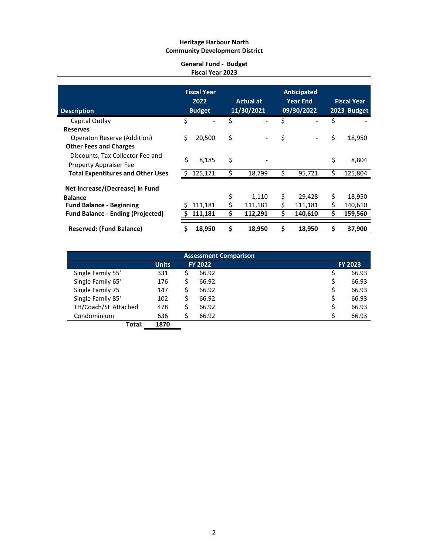### **General Fund - Budget Fiscal Year 2023**

| <b>Description</b>                       |    | <b>Fiscal Year</b><br>2022<br><b>Budget</b> |    | <b>Actual at</b><br>11/30/2021 |    | <b>Anticipated</b><br><b>Year End</b><br>09/30/2022 | <b>Fiscal Year</b><br>2023 Budget |         |  |
|------------------------------------------|----|---------------------------------------------|----|--------------------------------|----|-----------------------------------------------------|-----------------------------------|---------|--|
| Capital Outlay                           | \$ |                                             | Ś  |                                | \$ |                                                     | \$                                |         |  |
| <b>Reserves</b>                          |    |                                             |    |                                |    |                                                     |                                   |         |  |
| Operaton Reserve (Addition)              | Ś  | 20,500                                      | \$ |                                | \$ |                                                     | \$                                | 18,950  |  |
| <b>Other Fees and Charges</b>            |    |                                             |    |                                |    |                                                     |                                   |         |  |
| Discounts, Tax Collector Fee and         |    |                                             |    |                                |    |                                                     |                                   |         |  |
| <b>Property Appraiser Fee</b>            | \$ | 8,185                                       | \$ |                                |    |                                                     | \$                                | 8,804   |  |
| <b>Total Expentitures and Other Uses</b> |    | 125,171                                     | \$ | 18,799                         | \$ | 95,721                                              | \$                                | 125,804 |  |
| Net Increase/(Decrease) in Fund          |    |                                             |    |                                |    |                                                     |                                   |         |  |
| <b>Balance</b>                           |    |                                             | \$ | 1,110                          | \$ | 29,428                                              | \$                                | 18,950  |  |
| <b>Fund Balance - Beginning</b>          |    | 111,181                                     | Ś. | 111,181                        | Ś  | 111,181                                             | Ś.                                | 140,610 |  |
| <b>Fund Balance - Ending (Projected)</b> |    | 111,181                                     | Ś  | 112,291                        | \$ | 140,610                                             | \$                                | 159,560 |  |
| <b>Reserved: (Fund Balance)</b>          |    | 18,950                                      | \$ | 18,950                         | \$ | 18,950                                              | \$                                | 37,900  |  |
|                                          |    |                                             |    |                                |    |                                                     |                                   |         |  |

|                      |              |                | <b>Assessment Comparison</b> |                |
|----------------------|--------------|----------------|------------------------------|----------------|
|                      | <b>Units</b> | <b>FY 2022</b> |                              | <b>FY 2023</b> |
| Single Family 55'    | 331          | 66.92          |                              | 66.93          |
| Single Family 65'    | 176          | 66.92          |                              | 66.93          |
| Single Family 75     | 147          | 66.92          | S                            | 66.93          |
| Single Family 85'    | 102          | 66.92          |                              | 66.93          |
| TH/Coach/SF Attached | 478          | 66.92          |                              | 66.93          |
| Condominium          | 636          | 66.92          |                              | 66.93          |
| Total:               | 1870         |                |                              |                |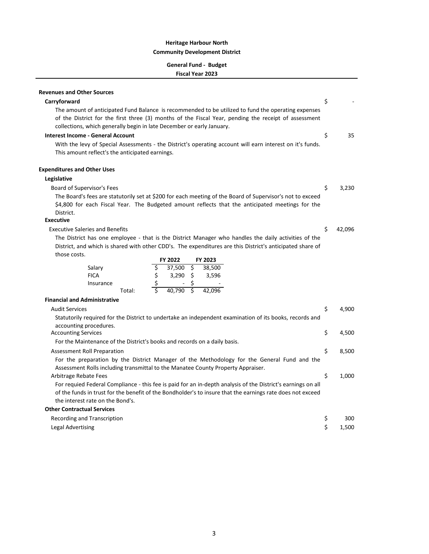## **General Fund - Budget Fiscal Year 2023**

| <b>Revenues and Other Sources</b>                                                                                                                                                                                                                                                    |    |        |
|--------------------------------------------------------------------------------------------------------------------------------------------------------------------------------------------------------------------------------------------------------------------------------------|----|--------|
| Carryforward                                                                                                                                                                                                                                                                         | \$ |        |
| The amount of anticipated Fund Balance is recommended to be utilized to fund the operating expenses<br>of the District for the first three (3) months of the Fiscal Year, pending the receipt of assessment<br>collections, which generally begin in late December or early January. |    |        |
| Interest Income - General Account                                                                                                                                                                                                                                                    | \$ | 35     |
| With the levy of Special Assessments - the District's operating account will earn interest on it's funds.<br>This amount reflect's the anticipated earnings.                                                                                                                         |    |        |
| <b>Expenditures and Other Uses</b>                                                                                                                                                                                                                                                   |    |        |
| Legislative                                                                                                                                                                                                                                                                          |    |        |
| Board of Supervisor's Fees                                                                                                                                                                                                                                                           | \$ | 3,230  |
| The Board's fees are statutorily set at \$200 for each meeting of the Board of Supervisor's not to exceed<br>\$4,800 for each Fiscal Year. The Budgeted amount reflects that the anticipated meetings for the<br>District.                                                           |    |        |
| <b>Executive</b>                                                                                                                                                                                                                                                                     |    |        |
| <b>Executive Saleries and Benefits</b>                                                                                                                                                                                                                                               | \$ | 42,096 |
| The District has one employee - that is the District Manager who handles the daily activities of the<br>District, and which is shared with other CDD's. The expenditures are this District's anticipated share of                                                                    |    |        |
| those costs.<br>FY 2022<br>FY 2023                                                                                                                                                                                                                                                   |    |        |
| \$<br>$37,500$ \$<br>38,500<br>Salary                                                                                                                                                                                                                                                |    |        |
| \$<br>\$<br>3,290<br><b>FICA</b><br>3,596                                                                                                                                                                                                                                            |    |        |
| \$<br>\$<br>Insurance                                                                                                                                                                                                                                                                |    |        |
| Ś<br>$\overline{\mathsf{s}}$<br>40.790<br>42.096<br>Total:                                                                                                                                                                                                                           |    |        |
| <b>Financial and Administrative</b>                                                                                                                                                                                                                                                  |    |        |
| <b>Audit Services</b>                                                                                                                                                                                                                                                                | \$ | 4,900  |
| Statutorily required for the District to undertake an independent examination of its books, records and                                                                                                                                                                              |    |        |
| accounting procedures.                                                                                                                                                                                                                                                               |    |        |
| <b>Accounting Services</b>                                                                                                                                                                                                                                                           | \$ | 4,500  |
| For the Maintenance of the District's books and records on a daily basis.                                                                                                                                                                                                            |    |        |
| <b>Assessment Roll Preparation</b>                                                                                                                                                                                                                                                   | \$ | 8,500  |
| For the preparation by the District Manager of the Methodology for the General Fund and the<br>Assessment Rolls including transmittal to the Manatee County Property Appraiser.                                                                                                      |    |        |
| Arbitrage Rebate Fees                                                                                                                                                                                                                                                                | \$ | 1,000  |
| For requied Federal Compliance - this fee is paid for an in-depth analysis of the District's earnings on all                                                                                                                                                                         |    |        |
| of the funds in trust for the benefit of the Bondholder's to insure that the earnings rate does not exceed                                                                                                                                                                           |    |        |
| the interest rate on the Bond's.                                                                                                                                                                                                                                                     |    |        |
| <b>Other Contractual Services</b>                                                                                                                                                                                                                                                    |    |        |
| Recording and Transcription                                                                                                                                                                                                                                                          | Ş  | 300    |
| Legal Advertising                                                                                                                                                                                                                                                                    | \$ | 1,500  |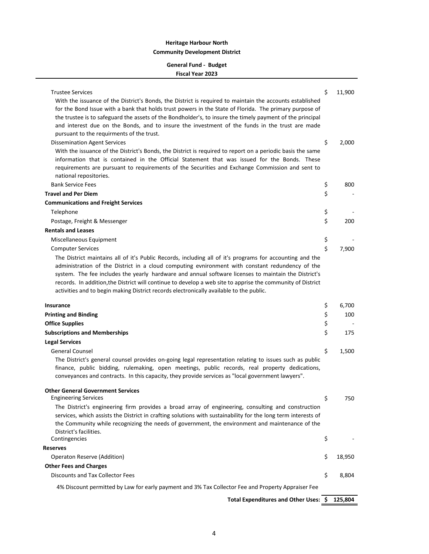## **General Fund - Budget Fiscal Year 2023**

| <b>Trustee Services</b><br>With the issuance of the District's Bonds, the District is required to maintain the accounts established<br>for the Bond Issue with a bank that holds trust powers in the State of Florida. The primary purpose of<br>the trustee is to safeguard the assets of the Bondholder's, to insure the timely payment of the principal<br>and interest due on the Bonds, and to insure the investment of the funds in the trust are made | \$<br>11,900 |
|--------------------------------------------------------------------------------------------------------------------------------------------------------------------------------------------------------------------------------------------------------------------------------------------------------------------------------------------------------------------------------------------------------------------------------------------------------------|--------------|
| pursuant to the requirments of the trust.<br><b>Dissemination Agent Services</b><br>With the issuance of the District's Bonds, the District is required to report on a periodic basis the same                                                                                                                                                                                                                                                               | \$<br>2,000  |
| information that is contained in the Official Statement that was issued for the Bonds. These<br>requirements are pursuant to requirements of the Securities and Exchange Commission and sent to<br>national repositories.                                                                                                                                                                                                                                    |              |
| <b>Bank Service Fees</b>                                                                                                                                                                                                                                                                                                                                                                                                                                     | \$<br>800    |
| <b>Travel and Per Diem</b>                                                                                                                                                                                                                                                                                                                                                                                                                                   | \$           |
|                                                                                                                                                                                                                                                                                                                                                                                                                                                              |              |
| <b>Communications and Freight Services</b>                                                                                                                                                                                                                                                                                                                                                                                                                   |              |
| Telephone                                                                                                                                                                                                                                                                                                                                                                                                                                                    | \$           |
| Postage, Freight & Messenger                                                                                                                                                                                                                                                                                                                                                                                                                                 | \$<br>200    |
| <b>Rentals and Leases</b>                                                                                                                                                                                                                                                                                                                                                                                                                                    |              |
| Miscellaneous Equipment                                                                                                                                                                                                                                                                                                                                                                                                                                      | \$           |
| <b>Computer Services</b>                                                                                                                                                                                                                                                                                                                                                                                                                                     | \$<br>7,900  |
| The District maintains all of it's Public Records, including all of it's programs for accounting and the<br>administration of the District in a cloud computing evnironment with constant redundency of the<br>system. The fee includes the yearly hardware and annual software licenses to maintain the District's<br>records. In addition, the District will continue to develop a web site to apprise the community of District                           |              |
| activities and to begin making District records electronically available to the public.                                                                                                                                                                                                                                                                                                                                                                      |              |
|                                                                                                                                                                                                                                                                                                                                                                                                                                                              |              |
| <b>Insurance</b>                                                                                                                                                                                                                                                                                                                                                                                                                                             | \$<br>6,700  |
| <b>Printing and Binding</b>                                                                                                                                                                                                                                                                                                                                                                                                                                  | \$<br>100    |
| <b>Office Supplies</b>                                                                                                                                                                                                                                                                                                                                                                                                                                       | \$           |
| <b>Subscriptions and Memberships</b>                                                                                                                                                                                                                                                                                                                                                                                                                         | \$<br>175    |
| <b>Legal Services</b>                                                                                                                                                                                                                                                                                                                                                                                                                                        |              |
| <b>General Counsel</b>                                                                                                                                                                                                                                                                                                                                                                                                                                       | \$<br>1,500  |
| The District's general counsel provides on-going legal representation relating to issues such as public<br>finance, public bidding, rulemaking, open meetings, public records, real property dedications,<br>conveyances and contracts. In this capacity, they provide services as "local government lawyers".                                                                                                                                               |              |
| <b>Other General Government Services</b><br><b>Engineering Services</b>                                                                                                                                                                                                                                                                                                                                                                                      | 750          |
| The District's engineering firm provides a broad array of engineering, consulting and construction<br>services, which assists the District in crafting solutions with sustainability for the long term interests of<br>the Community while recognizing the needs of government, the environment and maintenance of the                                                                                                                                       | \$           |
| District's facilities.<br>Contingencies                                                                                                                                                                                                                                                                                                                                                                                                                      | \$           |
| <b>Reserves</b>                                                                                                                                                                                                                                                                                                                                                                                                                                              |              |
| Operaton Reserve (Addition)                                                                                                                                                                                                                                                                                                                                                                                                                                  | \$<br>18,950 |
|                                                                                                                                                                                                                                                                                                                                                                                                                                                              |              |
| <b>Other Fees and Charges</b><br><b>Discounts and Tax Collector Fees</b>                                                                                                                                                                                                                                                                                                                                                                                     | \$<br>8,804  |

**Total Expenditures and Other Uses: \$ 125,804**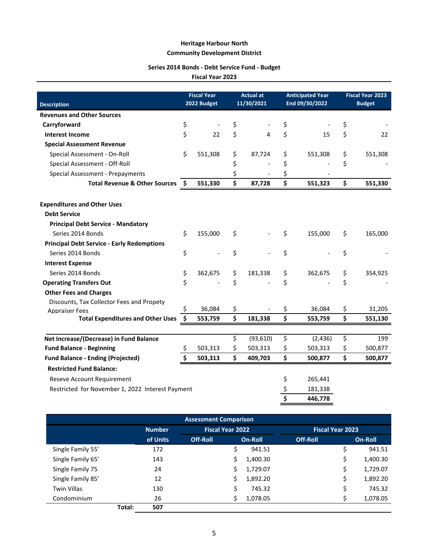## **Series 2014 Bonds - Debt Service Fund - Budget**

**Fiscal Year 2023**

| <b>Description</b>                                |    | <b>Fiscal Year</b><br>2022 Budget | <b>Actual at</b><br>11/30/2021 |    | <b>Anticipated Year</b><br>End 09/30/2022 | <b>Fiscal Year 2023</b><br><b>Budget</b> |         |  |
|---------------------------------------------------|----|-----------------------------------|--------------------------------|----|-------------------------------------------|------------------------------------------|---------|--|
| <b>Revenues and Other Sources</b>                 |    |                                   |                                |    |                                           |                                          |         |  |
| Carryforward                                      | \$ |                                   | \$                             | \$ |                                           | \$                                       |         |  |
| <b>Interest Income</b>                            | \$ | 22                                | \$<br>4                        | \$ | 15                                        | \$                                       | 22      |  |
| <b>Special Assessment Revenue</b>                 |    |                                   |                                |    |                                           |                                          |         |  |
| Special Assessment - On-Roll                      |    | 551,308                           | \$<br>87,724                   | \$ | 551,308                                   | \$                                       | 551,308 |  |
| Special Assessment - Off-Roll                     |    |                                   | \$                             | \$ |                                           | \$                                       |         |  |
| Special Assessment - Prepayments                  |    |                                   | \$                             | \$ |                                           |                                          |         |  |
| <b>Total Revenue &amp; Other Sources</b>          |    | 551,330                           | \$<br>87,728                   | \$ | 551,323                                   | \$                                       | 551,330 |  |
| <b>Expenditures and Other Uses</b>                |    |                                   |                                |    |                                           |                                          |         |  |
| <b>Debt Service</b>                               |    |                                   |                                |    |                                           |                                          |         |  |
| <b>Principal Debt Service - Mandatory</b>         |    |                                   |                                |    |                                           |                                          |         |  |
| Series 2014 Bonds                                 |    | 155,000                           | \$                             | \$ | 155,000                                   | \$                                       | 165,000 |  |
| <b>Principal Debt Service - Early Redemptions</b> |    |                                   |                                |    |                                           |                                          |         |  |
| Series 2014 Bonds                                 | \$ | $\overline{\phantom{a}}$          | \$                             | \$ |                                           | \$                                       |         |  |
| <b>Interest Expense</b>                           |    |                                   |                                |    |                                           |                                          |         |  |
| Series 2014 Bonds                                 | \$ | 362,675                           | \$<br>181,338                  | \$ | 362,675                                   | \$                                       | 354,925 |  |
| <b>Operating Transfers Out</b>                    | \$ |                                   | \$                             | \$ |                                           | \$                                       |         |  |
| <b>Other Fees and Charges</b>                     |    |                                   |                                |    |                                           |                                          |         |  |
| Discounts, Tax Collector Fees and Propety         |    |                                   |                                |    |                                           |                                          |         |  |
| <b>Appraiser Fees</b>                             | Ś. | 36,084                            | \$                             | \$ | 36,084                                    | \$                                       | 31,205  |  |
| <b>Total Expenditures and Other Uses</b>          | \$ | 553,759                           | \$<br>181,338                  | \$ | 553,759                                   | \$                                       | 551,130 |  |
|                                                   |    |                                   |                                |    |                                           |                                          |         |  |
| Net Increase/(Decrease) in Fund Balance           |    |                                   | \$<br>(93, 610)                | \$ | (2,436)                                   | \$                                       | 199     |  |
| <b>Fund Balance - Beginning</b>                   | \$ | 503,313                           | \$<br>503,313                  | \$ | 503,313                                   | \$                                       | 500,877 |  |
| <b>Fund Balance - Ending (Projected)</b>          |    | 503,313                           | \$<br>409,703                  | \$ | 500,877                                   | \$                                       | 500,877 |  |
| <b>Restricted Fund Balance:</b>                   |    |                                   |                                |    |                                           |                                          |         |  |
| Reseve Account Requirement                        |    |                                   |                                | \$ | 265,441                                   |                                          |         |  |
| Restricted for November 1, 2022 Interest Payment  |    |                                   |                                | \$ | 181,338                                   |                                          |         |  |
|                                                   |    |                                   |                                | Ś  | 446,778                                   |                                          |         |  |

| <b>Assessment Comparison</b> |        |               |                         |         |          |          |                         |          |  |  |  |
|------------------------------|--------|---------------|-------------------------|---------|----------|----------|-------------------------|----------|--|--|--|
|                              |        | <b>Number</b> | <b>Fiscal Year 2022</b> |         |          |          | <b>Fiscal Year 2023</b> |          |  |  |  |
|                              |        | of Units      | <b>Off-Roll</b>         | On-Roll |          | Off-Roll |                         | On-Roll  |  |  |  |
| Single Family 55'            |        | 172           |                         | Ś       | 941.51   |          | S                       | 941.51   |  |  |  |
| Single Family 65'            |        | 143           |                         |         | 1,400.30 |          | S                       | 1,400.30 |  |  |  |
| Single Family 75             |        | 24            |                         | S       | 1,729.07 |          | \$                      | 1,729.07 |  |  |  |
| Single Family 85'            |        | 12            |                         | Ś       | 1,892.20 |          | Ś                       | 1,892.20 |  |  |  |
| <b>Twin Villas</b>           |        | 130           |                         |         | 745.32   |          | \$                      | 745.32   |  |  |  |
| Condominium                  |        | 26            |                         |         | 1,078.05 |          | c                       | 1,078.05 |  |  |  |
|                              | Total: | 507           |                         |         |          |          |                         |          |  |  |  |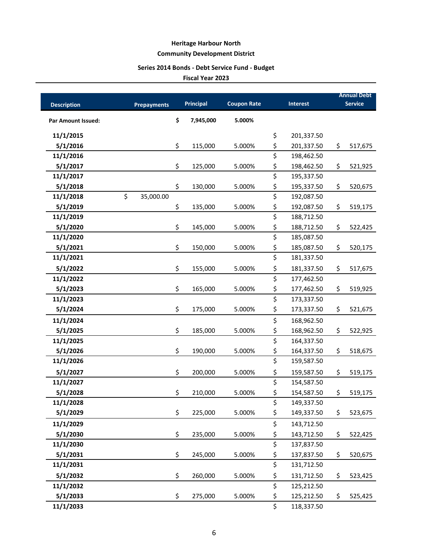# **Series 2014 Bonds - Debt Service Fund - Budget**

|                           |                    |                  |                    |                                 |                 | <b>Annual Debt</b> |
|---------------------------|--------------------|------------------|--------------------|---------------------------------|-----------------|--------------------|
| <b>Description</b>        | <b>Prepayments</b> | <b>Principal</b> | <b>Coupon Rate</b> |                                 | <b>Interest</b> | <b>Service</b>     |
| <b>Par Amount Issued:</b> |                    | \$<br>7,945,000  | 5.000%             |                                 |                 |                    |
| 11/1/2015                 |                    |                  |                    | \$                              | 201,337.50      |                    |
| 5/1/2016                  |                    | \$<br>115,000    | 5.000%             | \$                              | 201,337.50      | \$<br>517,675      |
| 11/1/2016                 |                    |                  |                    | \$                              | 198,462.50      |                    |
| 5/1/2017                  |                    | \$<br>125,000    | 5.000%             | \$                              | 198,462.50      | \$<br>521,925      |
| 11/1/2017                 |                    |                  |                    | \$                              | 195,337.50      |                    |
| 5/1/2018                  |                    | \$<br>130,000    | 5.000%             | \$                              | 195,337.50      | \$<br>520,675      |
| 11/1/2018                 | \$<br>35,000.00    |                  |                    | \$                              | 192,087.50      |                    |
| 5/1/2019                  |                    | \$<br>135,000    | 5.000%             | \$                              | 192,087.50      | \$<br>519,175      |
| 11/1/2019                 |                    |                  |                    | \$                              | 188,712.50      |                    |
| 5/1/2020                  |                    | \$<br>145,000    | 5.000%             | \$                              | 188,712.50      | \$<br>522,425      |
| 11/1/2020                 |                    |                  |                    | \$                              | 185,087.50      |                    |
| 5/1/2021                  |                    | \$<br>150,000    | 5.000%             | \$                              | 185,087.50      | \$<br>520,175      |
| 11/1/2021                 |                    |                  |                    | $\overline{\xi}$                | 181,337.50      |                    |
| 5/1/2022                  |                    | \$<br>155,000    | 5.000%             | \$                              | 181,337.50      | \$<br>517,675      |
| 11/1/2022                 |                    |                  |                    | \$                              | 177,462.50      |                    |
| 5/1/2023                  |                    | \$<br>165,000    | 5.000%             | \$                              | 177,462.50      | \$<br>519,925      |
| 11/1/2023                 |                    |                  |                    | \$                              | 173,337.50      |                    |
| 5/1/2024                  |                    | \$<br>175,000    | 5.000%             | \$                              | 173,337.50      | \$<br>521,675      |
| 11/1/2024                 |                    |                  |                    | \$                              | 168,962.50      |                    |
| 5/1/2025                  |                    | \$<br>185,000    | 5.000%             | \$                              | 168,962.50      | \$<br>522,925      |
| 11/1/2025                 |                    |                  |                    | \$                              | 164,337.50      |                    |
| 5/1/2026                  |                    | \$<br>190,000    | 5.000%             | \$                              | 164,337.50      | \$<br>518,675      |
| 11/1/2026                 |                    |                  |                    | $\overline{\boldsymbol{\zeta}}$ | 159,587.50      |                    |
| 5/1/2027                  |                    | \$<br>200,000    | 5.000%             | \$                              | 159,587.50      | \$<br>519,175      |
| 11/1/2027                 |                    |                  |                    | $\overline{\boldsymbol{\zeta}}$ | 154,587.50      |                    |
| 5/1/2028                  |                    | \$<br>210,000    | 5.000%             | \$                              | 154,587.50      | \$<br>519,175      |
| 11/1/2028                 |                    |                  |                    | \$                              | 149,337.50      |                    |
| 5/1/2029                  |                    | \$<br>225,000    | 5.000%             | \$                              | 149,337.50      | \$<br>523,675      |
| 11/1/2029                 |                    |                  |                    | \$                              | 143,712.50      |                    |
| 5/1/2030                  |                    | \$<br>235,000    | 5.000%             | \$                              | 143,712.50      | \$<br>522,425      |
| 11/1/2030                 |                    |                  |                    | \$                              | 137,837.50      |                    |
| 5/1/2031                  |                    | \$<br>245,000    | 5.000%             | \$                              | 137,837.50      | \$<br>520,675      |
| 11/1/2031                 |                    |                  |                    | \$                              | 131,712.50      |                    |
| 5/1/2032                  |                    | \$<br>260,000    | 5.000%             | \$                              | 131,712.50      | \$<br>523,425      |
| 11/1/2032                 |                    |                  |                    | \$                              | 125,212.50      |                    |
| 5/1/2033                  |                    | \$<br>275,000    | 5.000%             | \$                              | 125,212.50      | \$<br>525,425      |
| 11/1/2033                 |                    |                  |                    | \$                              | 118,337.50      |                    |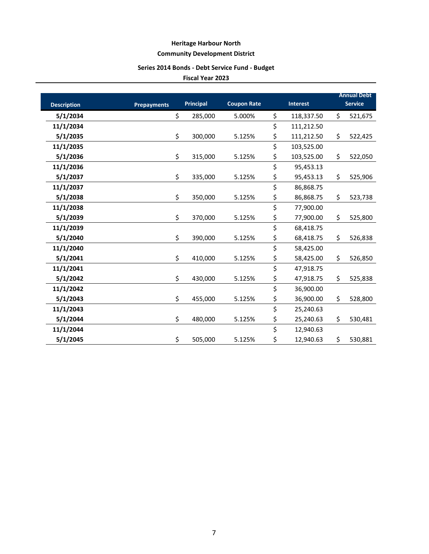# **Series 2014 Bonds - Debt Service Fund - Budget**

| <b>Description</b> | <b>Prepayments</b> | <b>Principal</b> | <b>Coupon Rate</b> | <b>Interest</b>  | <b>Annual Debt</b><br><b>Service</b> |
|--------------------|--------------------|------------------|--------------------|------------------|--------------------------------------|
| 5/1/2034           |                    | \$<br>285,000    | 5.000%             | \$<br>118,337.50 | \$<br>521,675                        |
| 11/1/2034          |                    |                  |                    | \$<br>111,212.50 |                                      |
| 5/1/2035           |                    | \$<br>300,000    | 5.125%             | \$<br>111,212.50 | \$<br>522,425                        |
| 11/1/2035          |                    |                  |                    | \$<br>103,525.00 |                                      |
| 5/1/2036           |                    | \$<br>315,000    | 5.125%             | \$<br>103,525.00 | \$<br>522,050                        |
| 11/1/2036          |                    |                  |                    | \$<br>95,453.13  |                                      |
| 5/1/2037           |                    | \$<br>335,000    | 5.125%             | \$<br>95,453.13  | \$<br>525,906                        |
| 11/1/2037          |                    |                  |                    | \$<br>86,868.75  |                                      |
| 5/1/2038           |                    | \$<br>350,000    | 5.125%             | \$<br>86,868.75  | \$<br>523,738                        |
| 11/1/2038          |                    |                  |                    | \$<br>77,900.00  |                                      |
| 5/1/2039           |                    | \$<br>370,000    | 5.125%             | \$<br>77,900.00  | \$<br>525,800                        |
| 11/1/2039          |                    |                  |                    | \$<br>68,418.75  |                                      |
| 5/1/2040           |                    | \$<br>390,000    | 5.125%             | \$<br>68,418.75  | \$<br>526,838                        |
| 11/1/2040          |                    |                  |                    | \$<br>58,425.00  |                                      |
| 5/1/2041           |                    | \$<br>410,000    | 5.125%             | \$<br>58,425.00  | \$<br>526,850                        |
| 11/1/2041          |                    |                  |                    | \$<br>47,918.75  |                                      |
| 5/1/2042           |                    | \$<br>430,000    | 5.125%             | \$<br>47,918.75  | \$<br>525,838                        |
| 11/1/2042          |                    |                  |                    | \$<br>36,900.00  |                                      |
| 5/1/2043           |                    | \$<br>455,000    | 5.125%             | \$<br>36,900.00  | \$<br>528,800                        |
| 11/1/2043          |                    |                  |                    | \$<br>25,240.63  |                                      |
| 5/1/2044           |                    | \$<br>480,000    | 5.125%             | \$<br>25,240.63  | \$<br>530,481                        |
| 11/1/2044          |                    |                  |                    | \$<br>12,940.63  |                                      |
| 5/1/2045           |                    | \$<br>505,000    | 5.125%             | \$<br>12,940.63  | \$<br>530,881                        |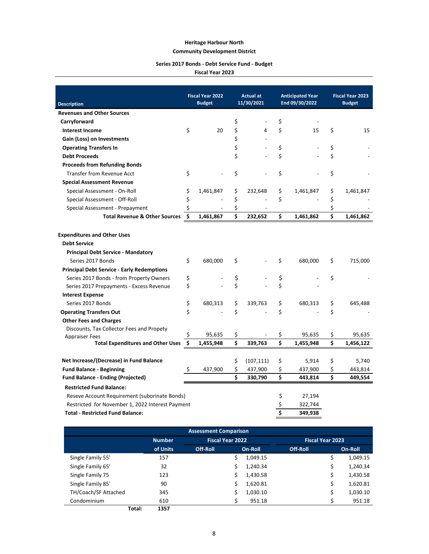### **Heritage Harbour North**

### **Community Development District**

### **Series 2017 Bonds - Debt Service Fund - Budget**

|                                                   | <b>Fiscal Year 2022</b> |               | <b>Actual at</b> |            |    | <b>Anticipated Year</b> | <b>Fiscal Year 2023</b> |               |  |
|---------------------------------------------------|-------------------------|---------------|------------------|------------|----|-------------------------|-------------------------|---------------|--|
| <b>Description</b>                                |                         | <b>Budget</b> |                  | 11/30/2021 |    | End 09/30/2022          |                         | <b>Budget</b> |  |
| <b>Revenues and Other Sources</b>                 |                         |               |                  |            |    |                         |                         |               |  |
| Carryforward                                      |                         |               | \$               |            | \$ |                         |                         |               |  |
| <b>Interest Income</b>                            | \$                      | 20            | \$               | 4          | \$ | 15                      | \$                      | 15            |  |
| Gain (Loss) on Investments                        |                         |               | \$               |            |    |                         |                         |               |  |
| <b>Operating Transfers In</b>                     |                         |               | \$               |            | \$ |                         | \$                      |               |  |
| <b>Debt Proceeds</b>                              |                         |               | \$               |            | \$ |                         | \$                      |               |  |
| <b>Proceeds from Refunding Bonds</b>              |                         |               |                  |            |    |                         |                         |               |  |
| <b>Transfer from Revenue Acct</b>                 | \$                      |               | \$               |            | \$ |                         | \$                      |               |  |
| <b>Special Assessment Revenue</b>                 |                         |               |                  |            |    |                         |                         |               |  |
| Special Assessment - On-Roll                      | \$                      | 1,461,847     | \$               | 232,648    | \$ | 1,461,847               | \$                      | 1,461,847     |  |
| Special Assessment - Off-Roll                     | \$                      |               | \$               |            | \$ |                         | \$                      |               |  |
| Special Assessment - Prepayment                   | \$                      |               | \$               |            |    |                         | \$                      |               |  |
| <b>Total Revenue &amp; Other Sources</b>          | \$                      | 1,461,867     | \$               | 232,652    | \$ | 1,461,862               | \$                      | 1,461,862     |  |
|                                                   |                         |               |                  |            |    |                         |                         |               |  |
| <b>Expenditures and Other Uses</b>                |                         |               |                  |            |    |                         |                         |               |  |
| <b>Debt Service</b>                               |                         |               |                  |            |    |                         |                         |               |  |
| <b>Principal Debt Service - Mandatory</b>         |                         |               |                  |            |    |                         |                         |               |  |
| Series 2017 Bonds                                 | \$                      | 680,000       | \$               |            | \$ | 680,000                 | \$.                     | 715,000       |  |
| <b>Principal Debt Service - Early Redemptions</b> |                         |               |                  |            |    |                         |                         |               |  |
| Series 2017 Bonds - from Property Owners          | \$                      |               | \$               |            | \$ |                         | \$                      |               |  |
| Series 2017 Prepayments - Excess Revenue          | \$                      |               | \$               |            | Ś  |                         |                         |               |  |
| <b>Interest Expense</b>                           |                         |               |                  |            |    |                         |                         |               |  |
| Series 2017 Bonds                                 | \$                      | 680,313       | \$               | 339,763    | \$ | 680,313                 | \$                      | 645,488       |  |
| <b>Operating Transfers Out</b>                    | Ś                       |               | \$               |            | Ś  |                         | \$                      |               |  |
| <b>Other Fees and Charges</b>                     |                         |               |                  |            |    |                         |                         |               |  |
| Discounts, Tax Collector Fees and Propety         |                         |               |                  |            |    |                         |                         |               |  |
| <b>Appraiser Fees</b>                             | \$                      | 95,635        | \$               |            | \$ | 95,635                  | \$                      | 95,635        |  |
| <b>Total Expenditures and Other Uses</b>          | Ś                       | 1,455,948     | \$               | 339,763    | \$ | 1,455,948               | \$                      | 1,456,122     |  |
| Net Increase/(Decrease) in Fund Balance           |                         |               | \$               | (107, 111) | \$ | 5,914                   | \$                      | 5,740         |  |
| <b>Fund Balance - Beginning</b>                   | \$,                     | 437,900       | \$               | 437,900    | \$ | 437,900                 | \$                      | 443,814       |  |
| <b>Fund Balance - Ending (Projected)</b>          |                         |               | Ś                | 330,790    | \$ | 443,814                 | \$                      | 449,554       |  |
| <b>Restricted Fund Balance:</b>                   |                         |               |                  |            |    |                         |                         |               |  |
| Reseve Account Requirement (suborinate Bonds)     |                         |               |                  |            | \$ | 27,194                  |                         |               |  |
| Restricted for November 1, 2022 Interest Payment  |                         |               |                  |            | \$ | 322,744                 |                         |               |  |
| <b>Total - Restricted Fund Balance:</b>           |                         |               |                  |            | \$ | 349,938                 |                         |               |  |

| <b>Assessment Comparison</b> |               |                  |         |          |                         |  |          |  |  |  |  |
|------------------------------|---------------|------------------|---------|----------|-------------------------|--|----------|--|--|--|--|
|                              | <b>Number</b> | Fiscal Year 2022 |         |          | <b>Fiscal Year 2023</b> |  |          |  |  |  |  |
|                              | of Units      | <b>Off-Roll</b>  | On-Roll |          | Off-Roll                |  | On-Roll  |  |  |  |  |
| Single Family 55'            | 157           |                  | S       | 1,049.15 |                         |  | 1,049.15 |  |  |  |  |
| Single Family 65'            | 32            |                  | Ś       | 1.240.34 |                         |  | 1,240.34 |  |  |  |  |
| Single Family 75             | 123           |                  | Ś       | 1,430.58 |                         |  | 1,430.58 |  |  |  |  |
| Single Family 85'            | 90            |                  | Ś       | 1,620.81 |                         |  | 1,620.81 |  |  |  |  |
| TH/Coach/SF Attached         | 345           |                  | Ś       | 1,030.10 |                         |  | 1,030.10 |  |  |  |  |
| Condominium                  | 610           |                  |         | 951.18   |                         |  | 951.18   |  |  |  |  |
| Total:                       | 1357          |                  |         |          |                         |  |          |  |  |  |  |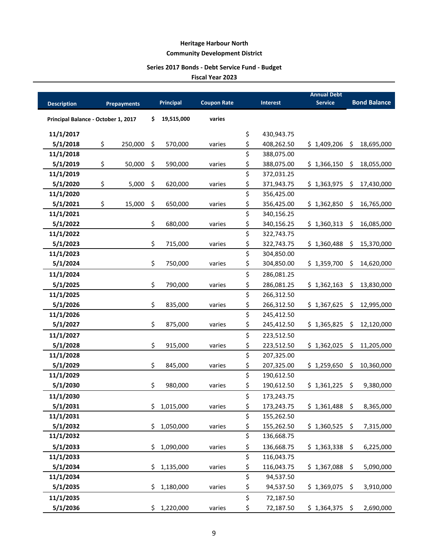# **Series 2017 Bonds - Debt Service Fund - Budget**

**Fiscal Year 2023**

|                                     |                    |     |             |                    |                  | <b>Annual Debt</b> |     |                     |
|-------------------------------------|--------------------|-----|-------------|--------------------|------------------|--------------------|-----|---------------------|
| <b>Description</b>                  | <b>Prepayments</b> |     | Principal   | <b>Coupon Rate</b> | <b>Interest</b>  | <b>Service</b>     |     | <b>Bond Balance</b> |
| Principal Balance - October 1, 2017 |                    | \$  | 19,515,000  | varies             |                  |                    |     |                     |
| 11/1/2017                           |                    |     |             |                    | \$<br>430,943.75 |                    |     |                     |
| 5/1/2018                            | \$<br>250,000      | \$  | 570,000     | varies             | \$<br>408,262.50 | \$1,409,206        | \$  | 18,695,000          |
| 11/1/2018                           |                    |     |             |                    | \$<br>388,075.00 |                    |     |                     |
| 5/1/2019                            | \$<br>50,000       | \$  | 590,000     | varies             | \$<br>388,075.00 | \$1,366,150        | \$  | 18,055,000          |
| 11/1/2019                           |                    |     |             |                    | \$<br>372,031.25 |                    |     |                     |
| 5/1/2020                            | \$<br>5,000        | \$  | 620,000     | varies             | \$<br>371,943.75 | \$1,363,975        | Ŝ.  | 17,430,000          |
| 11/1/2020                           |                    |     |             |                    | \$<br>356,425.00 |                    |     |                     |
| 5/1/2021                            | \$<br>15,000       | \$  | 650,000     | varies             | \$<br>356,425.00 | \$1,362,850        | \$  | 16,765,000          |
| 11/1/2021                           |                    |     |             |                    | \$<br>340,156.25 |                    |     |                     |
| 5/1/2022                            |                    | \$  | 680,000     | varies             | \$<br>340,156.25 | \$1,360,313        | \$  | 16,085,000          |
| 11/1/2022                           |                    |     |             |                    | \$<br>322,743.75 |                    |     |                     |
| 5/1/2023                            |                    | \$  | 715,000     | varies             | \$<br>322,743.75 | \$1,360,488        | \$  | 15,370,000          |
| 11/1/2023                           |                    |     |             |                    | \$<br>304,850.00 |                    |     |                     |
| 5/1/2024                            |                    | \$  | 750,000     | varies             | \$<br>304,850.00 | \$1,359,700        | \$  | 14,620,000          |
| 11/1/2024                           |                    |     |             |                    | \$<br>286,081.25 |                    |     |                     |
| 5/1/2025                            |                    | \$  | 790,000     | varies             | \$<br>286,081.25 | \$1,362,163        | -\$ | 13,830,000          |
| 11/1/2025                           |                    |     |             |                    | \$<br>266,312.50 |                    |     |                     |
| 5/1/2026                            |                    | \$  | 835,000     | varies             | \$<br>266,312.50 | \$1,367,625        | \$  | 12,995,000          |
| 11/1/2026                           |                    |     |             |                    | \$<br>245,412.50 |                    |     |                     |
| 5/1/2027                            |                    | \$  | 875,000     | varies             | \$<br>245,412.50 | \$1,365,825        | \$  | 12,120,000          |
| 11/1/2027                           |                    |     |             |                    | \$<br>223,512.50 |                    |     |                     |
| 5/1/2028                            |                    | \$  | 915,000     | varies             | \$<br>223,512.50 | \$1,362,025        | \$  | 11,205,000          |
| 11/1/2028                           |                    |     |             |                    | \$<br>207,325.00 |                    |     |                     |
| 5/1/2029                            |                    | \$  | 845,000     | varies             | \$<br>207,325.00 | \$1,259,650        | \$  | 10,360,000          |
| 11/1/2029                           |                    |     |             |                    | \$<br>190,612.50 |                    |     |                     |
| 5/1/2030                            |                    | \$  | 980,000     | varies             | \$<br>190,612.50 | \$1,361,225        | \$  | 9,380,000           |
| 11/1/2030                           |                    |     |             |                    | \$<br>173,243.75 |                    |     |                     |
| 5/1/2031                            |                    |     | \$1,015,000 | varies             | \$<br>173,243.75 | \$1,361,488        |     | 8,365,000           |
| 11/1/2031                           |                    |     |             |                    | \$<br>155,262.50 |                    |     |                     |
| 5/1/2032                            |                    | \$  | 1,050,000   | varies             | \$<br>155,262.50 | \$1,360,525        | \$  | 7,315,000           |
| 11/1/2032                           |                    |     |             |                    | \$<br>136,668.75 |                    |     |                     |
| 5/1/2033                            |                    | \$  | 1,090,000   | varies             | \$<br>136,668.75 | \$1,363,338        | \$  | 6,225,000           |
| 11/1/2033                           |                    |     |             |                    | \$<br>116,043.75 |                    |     |                     |
| 5/1/2034                            |                    | \$  | 1,135,000   | varies             | \$<br>116,043.75 | \$1,367,088        | \$  | 5,090,000           |
| 11/1/2034                           |                    |     |             |                    | \$<br>94,537.50  |                    |     |                     |
| 5/1/2035                            |                    | \$. | 1,180,000   | varies             | \$<br>94,537.50  | \$1,369,075        | \$  | 3,910,000           |
| 11/1/2035                           |                    |     |             |                    | \$<br>72,187.50  |                    |     |                     |
| 5/1/2036                            |                    |     | \$1,220,000 | varies             | \$<br>72,187.50  | $$1,364,375$ \$    |     | 2,690,000           |